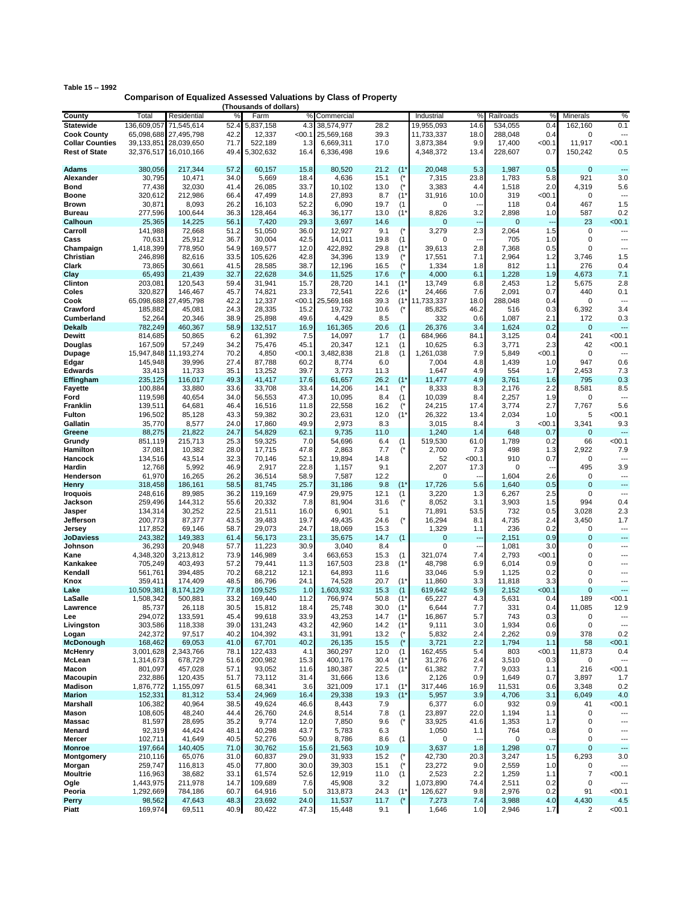| Table 15 -- 1992 |                                                                         |
|------------------|-------------------------------------------------------------------------|
|                  | <b>Comparison of Equalized Assessed Valuations by Class of Property</b> |
|                  | (Thousands of dollars)                                                  |

|                        |             |                       |      | (Thousands of dollars) |          |            |      |                |             |                          |             |        |                |                          |
|------------------------|-------------|-----------------------|------|------------------------|----------|------------|------|----------------|-------------|--------------------------|-------------|--------|----------------|--------------------------|
| County                 | Total       | Residential           | %    | Farm                   | %        | Commercial |      |                | Industrial  | %                        | Railroads   | $\%$   | Minerals       | %                        |
| <b>Statewide</b>       | 136,609,057 | 71,545,614            | 52.4 | 5,837,158              | 4.3      | 38,574,977 | 28.2 |                | 19,955,093  | 14.6                     | 534,055     | 0.4    | 162,160        | 0.1                      |
| <b>Cook County</b>     | 65,098,688  | 27,495,798            | 42.2 | 12,337                 | < 00.1   | 25,569,168 | 39.3 |                | 11,733,337  | 18.0                     | 288,048     | 0.4    | 0              | ---                      |
|                        |             |                       |      |                        |          |            |      |                |             |                          |             |        |                |                          |
| <b>Collar Counties</b> |             | 39,133,851 28,039,650 | 71.7 | 522,189                | 1.3      | 6,669,311  | 17.0 |                | 3,873,384   | 9.9                      | 17,400      | $00.1$ | 11,917         | < 00.1                   |
| <b>Rest of State</b>   |             | 32,376,517 16,010,166 | 49.4 | 5,302,632              | 16.4     | 6,336,498  | 19.6 |                | 4,348,372   | 13.4                     | 228,607     | 0.7    | 150,242        | 0.5                      |
|                        |             |                       |      |                        |          |            |      |                |             |                          |             |        |                |                          |
| Adams                  | 380,056     | 217,344               | 57.2 | 60,157                 | 15.8     | 80,520     | 21.2 | $(1^*$         | 20,048      | 5.3                      | 1,987       | 0.5    | 0              | $\overline{\phantom{a}}$ |
|                        |             |                       |      |                        |          |            |      |                |             |                          |             |        |                |                          |
| Alexander              | 30,795      | 10,471                | 34.0 | 5,669                  | 18.4     | 4,636      | 15.1 | (*             | 7,315       | 23.8                     | 1,783       | 5.8    | 921            | 3.0                      |
| Bond                   | 77,438      | 32,030                | 41.4 | 26,085                 | 33.7     | 10,102     | 13.0 |                | 3,383       | 4.4                      | 1,518       | 2.0    | 4,319          | 5.6                      |
| Boone                  | 320,612     | 212,986               | 66.4 | 47,499                 | 14.8     | 27,893     | 8.7  | $(1^*$         | 31,916      | 10.0                     | 319         | <00.1  | 0              | $\overline{\phantom{a}}$ |
| Brown                  | 30,871      | 8,093                 | 26.2 | 16,103                 | 52.2     | 6,090      | 19.7 | (1)            | 0           | $\overline{\phantom{a}}$ | 118         | 0.4    | 467            | 1.5                      |
|                        |             |                       |      |                        |          |            |      |                |             |                          |             |        |                |                          |
| Bureau                 | 277,596     | 100,644               | 36.3 | 128,464                | 46.3     | 36,177     | 13.0 | $(1^*$         | 8,826       | 3.2                      | 2,898       | 1.0    | 587            | 0.2                      |
| Calhoun                | 25,365      | 14,225                | 56.1 | 7,420                  | 29.3     | 3,697      | 14.6 |                | 0           | $\overline{a}$           | $\mathbf 0$ |        | 23             | < 00.1                   |
| Carroll                | 141,988     | 72,668                | 51.2 | 51,050                 | 36.0     | 12,927     | 9.1  |                | 3,279       | 2.3                      | 2,064       | 1.5    | 0              | ---                      |
| Cass                   | 70,631      | 25,912                | 36.7 | 30,004                 | 42.5     | 14,011     | 19.8 | (1)            | 0           |                          | 705         | 1.0    | 0              | ---                      |
|                        |             |                       |      |                        |          |            |      |                |             |                          |             |        |                |                          |
| Champaign              | 1,418,399   | 778,950               | 54.9 | 169,577                | 12.0     | 422,892    | 29.8 | $(1^*$         | 39,613      | 2.8                      | 7,368       | 0.5    | $\mathbf 0$    | ---                      |
| Christian              | 246,898     | 82,616                | 33.5 | 105,626                | 42.8     | 34,396     | 13.9 |                | 17,551      | 7.1                      | 2,964       | 1.2    | 3,746          | 1.5                      |
| Clark                  | 73,865      | 30,661                | 41.5 | 28,585                 | 38.7     | 12,196     | 16.5 |                | 1,334       | 1.8                      | 812         | 1.1    | 276            | 0.4                      |
| Clay                   | 65,493      | 21,439                | 32.7 | 22,628                 | 34.6     | 11,525     | 17.6 |                | 4,000       | 6.1                      | 1,228       | 1.9    | 4,673          | 7.1                      |
|                        |             |                       |      |                        |          |            |      |                |             |                          |             |        |                |                          |
| Clinton                | 203,081     | 120,543               | 59.4 | 31,941                 | 15.7     | 28,720     | 14.1 | $(1^{\prime}%$ | 13,749      | 6.8                      | 2,453       | 1.2    | 5,675          | 2.8                      |
| Coles                  | 320,827     | 146,467               | 45.7 | 74,821                 | 23.3     | 72,541     | 22.6 | (1)            | 24,466      | 7.6                      | 2,091       | 0.7    | 440            | 0.1                      |
| Cook                   |             | 65,098,688 27,495,798 | 42.2 | 12,337                 | $<$ 00.1 | 25,569,168 | 39.3 | $(1^*$         | 11,733,337  | 18.0                     | 288,048     | 0.4    | 0              | $\overline{\phantom{a}}$ |
| Crawford               | 185,882     | 45,081                | 24.3 | 28,335                 | 15.2     | 19,732     | 10.6 | (              | 85,825      | 46.2                     | 516         | 0.3    | 6,392          | 3.4                      |
|                        |             |                       |      |                        |          |            |      |                |             |                          |             |        |                |                          |
| Cumberland             | 52,264      | 20,346                | 38.9 | 25,898                 | 49.6     | 4,429      | 8.5  |                | 332         | 0.6                      | 1,087       | 2.1    | 172            | 0.3                      |
| Dekalb                 | 782,249     | 460,367               | 58.9 | 132,517                | 16.9     | 161,365    | 20.6 | (1)            | 26,376      | 3.4                      | 1,624       | 0.2    | 0              | $\overline{a}$           |
| Dewitt                 | 814,685     | 50,865                | 6.2  | 61,392                 | 7.5      | 14,097     | 1.7  | (1)            | 684,966     | 84.1                     | 3,125       | 0.4    | 241            | < 00.1                   |
|                        |             |                       |      |                        |          |            | 12.1 |                |             |                          |             |        | 42             | < 00.1                   |
| Douglas                | 167,509     | 57,249                | 34.2 | 75,476                 | 45.1     | 20,347     |      | (1)            | 10,625      | 6.3                      | 3,771       | 2.3    |                |                          |
| Dupage                 | 15,947,848  | 11,193,274            | 70.2 | 4,850                  | <00.1    | 3,482,838  | 21.8 | (1)            | 1,261,038   | 7.9                      | 5,849       | $00.1$ | 0              | ---                      |
| Edgar                  | 145,948     | 39,996                | 27.4 | 87,788                 | 60.2     | 8,774      | 6.0  |                | 7,004       | 4.8                      | 1,439       | 1.0    | 947            | 0.6                      |
| <b>Edwards</b>         | 33,413      | 11,733                | 35.1 | 13,252                 | 39.7     | 3,773      | 11.3 |                | 1,647       | 4.9                      | 554         | 1.7    | 2,453          | 7.3                      |
|                        |             |                       |      |                        |          |            |      |                |             |                          |             |        |                |                          |
| <b>Effingham</b>       | 235,125     | 116,017               | 49.3 | 41,417                 | 17.6     | 61,657     | 26.2 | (1)            | 11,477      | 4.9                      | 3,761       | 1.6    | 795            | 0.3                      |
| <b>Fayette</b>         | 100,884     | 33,880                | 33.6 | 33,708                 | 33.4     | 14,206     | 14.1 | (*             | 8,333       | 8.3                      | 2,176       | 2.2    | 8,581          | 8.5                      |
| Ford                   | 119,598     | 40,654                | 34.0 | 56,553                 | 47.3     | 10,095     | 8.4  | (1)            | 10,039      | 8.4                      | 2,257       | 1.9    | 0              | ---                      |
| Franklin               | 139,511     | 64,681                | 46.4 | 16,516                 | 11.8     | 22,558     | 16.2 | $($ *          | 24,215      | 17.4                     | 3,774       | 2.7    | 7,767          | 5.6                      |
|                        |             |                       |      |                        |          |            |      |                |             |                          |             |        |                |                          |
| <b>Fulton</b>          | 196,502     | 85,128                | 43.3 | 59,382                 | 30.2     | 23,631     | 12.0 | $(1^*$         | 26,322      | 13.4                     | 2,034       | 1.0    | 5              | < 00.1                   |
| Gallatin               | 35,770      | 8,577                 | 24.0 | 17,860                 | 49.9     | 2,973      | 8.3  |                | 3,015       | 8.4                      | 3           | $00.1$ | 3,341          | 9.3                      |
| Greene                 | 88,275      | 21,822                | 24.7 | 54,829                 | 62.1     | 9,735      | 11.0 |                | 1,240       | 1.4                      | 648         | 0.7    | 0              | ---                      |
| Grundy                 | 851,119     | 215,713               | 25.3 | 59,325                 | 7.0      | 54,696     | 6.4  | (1)            | 519,530     | 61.0                     | 1,789       | 0.2    | 66             | < 00.1                   |
|                        |             |                       |      |                        |          |            |      |                |             |                          |             |        |                |                          |
| Hamilton               | 37,081      | 10,382                | 28.0 | 17,715                 | 47.8     | 2,863      | 7.7  | (*             | 2,700       | 7.3                      | 498         | 1.3    | 2,922          | 7.9                      |
| Hancock                | 134,516     | 43,514                | 32.3 | 70,146                 | 52.1     | 19,894     | 14.8 |                | 52          | $00.1$                   | 910         | 0.7    | 0              | $\overline{a}$           |
| Hardin                 | 12,768      | 5,992                 | 46.9 | 2,917                  | 22.8     | 1,157      | 9.1  |                | 2,207       | 17.3                     | $\mathbf 0$ | ٠.     | 495            | 3.9                      |
| Henderson              | 61,970      | 16,265                | 26.2 | 36,514                 | 58.9     | 7,587      | 12.2 |                | 0           | $\overline{\phantom{a}}$ | 1,604       | 2.6    | 0              | ---                      |
|                        |             |                       |      |                        |          |            |      |                |             |                          |             |        |                |                          |
| Henry                  | 318,458     | 186,161               | 58.5 | 81,745                 | 25.7     | 31,186     | 9.8  | (1)            | 17,726      | 5.6                      | 1,640       | 0.5    | $\mathbf 0$    | $\overline{\phantom{a}}$ |
| Iroquois               | 248,616     | 89,985                | 36.2 | 119,169                | 47.9     | 29,975     | 12.1 | (1)            | 3,220       | 1.3                      | 6,267       | 2.5    | 0              | $\overline{\phantom{a}}$ |
| Jackson                | 259,496     | 144,312               | 55.6 | 20,332                 | 7.8      | 81,904     | 31.6 | (*             | 8,052       | 3.1                      | 3,903       | 1.5    | 994            | 0.4                      |
|                        |             |                       | 22.5 |                        | 16.0     |            |      |                |             |                          |             |        |                | 2.3                      |
| Jasper                 | 134,314     | 30,252                |      | 21,511                 |          | 6,901      | 5.1  |                | 71,891      | 53.5                     | 732         | 0.5    | 3,028          |                          |
| Jefferson              | 200,773     | 87,377                | 43.5 | 39,483                 | 19.7     | 49,435     | 24.6 | (*             | 16,294      | 8.1                      | 4,735       | 2.4    | 3,450          | 1.7                      |
| Jersey                 | 117,852     | 69,146                | 58.7 | 29,073                 | 24.7     | 18,069     | 15.3 |                | 1,329       | 1.1                      | 236         | 0.2    | 0              | $\overline{\phantom{a}}$ |
| JoDaviess              | 243,382     | 149,383               | 61.4 | 56,173                 | 23.1     | 35,675     | 14.7 | (1)            | $\mathbf 0$ | ---                      | 2,151       | 0.9    | $\mathbf 0$    | $\overline{a}$           |
|                        |             |                       |      |                        |          |            |      |                |             |                          |             |        |                |                          |
| Johnson                | 36,293      | 20,948                | 57.7 | 11,223                 | 30.9     | 3,040      | 8.4  |                | 0           | $\overline{\phantom{a}}$ | 1,081       | 3.0    | 0              | $\overline{\phantom{a}}$ |
| Kane                   | 4,348,320   | 3,213,812             | 73.9 | 146,989                | 3.4      | 663,653    | 15.3 | (1)            | 321,074     | 7.4                      | 2,793       | $00.1$ | 0              | $\overline{\phantom{a}}$ |
| Kankakee               | 705,249     | 403,493               | 57.2 | 79,441                 | 11.3     | 167,503    | 23.8 | $(1^*$         | 48,798      | 6.9                      | 6,014       | 0.9    | 0              | ---                      |
| Kendall                | 561,761     | 394.485               | 70.2 | 68,212                 | 12.1     | 64,893     | 11.6 |                | 33,046      | 5.9                      | 1,125       | 0.2    | 0              | ---                      |
|                        |             |                       |      |                        |          |            |      |                |             |                          |             |        |                |                          |
| Knox                   | 359,411     | 174,409               | 48.5 | 86,796                 | 24.1     | 74,528     | 20.7 | $(1^*$         | 11,860      | 3.3                      | 11,818      | 3.3    | 0              | ---                      |
| Lake                   | 10,509,381  | 8,174,129             | 77.8 | 109,525                | 1.0      | 1,603,932  | 15.3 | (1)            | 619,642     | 5.9                      | 2,152       | $00.1$ | $\mathbf 0$    | ---                      |
| LaSalle                | 1,508,342   | 500,881               | 33.2 | 169,440                | 11.2     | 766,974    | 50.8 | $(1^*$         | 65,227      | 4.3                      | 5,631       | 0.4    | 189            | <00.1                    |
|                        | 85,737      | 26,118                | 30.5 | 15,812                 | 18.4     | 25,748     | 30.0 | (1)            | 6,644       | 7.7                      | 331         | 0.4    | 11,085         | 12.9                     |
| Lawrence               |             |                       |      |                        |          |            |      |                |             |                          |             |        |                |                          |
| Lee                    | 294,072     | 133,591               | 45.4 | 99,618                 | 33.9     | 43,253     | 14.7 | $(1^*$         | 16,867      | 5.7                      | 743         | 0.3    | 0              |                          |
| Livingston             | 303,586     | 118,338               | 39.0 | 131,243                | 43.2     | 42,960     | 14.2 | $(1^*$         | 9,111       | 3.0                      | 1,934       | 0.6    | 0              | $\overline{\phantom{a}}$ |
| Logan                  | 242,372     | 97,517                | 40.2 | 104,392                | 43.1     | 31,991     | 13.2 | $($ *          | 5,832       | 2.4                      | 2,262       | 0.9    | 378            | 0.2                      |
| McDonough              | 168,462     | 69,053                | 41.0 | 67,701                 | 40.2     | 26,135     | 15.5 | (*             | 3,721       | 2.2                      | 1,794       | 1.1    | 58             | < 00.1                   |
|                        |             |                       |      |                        |          |            |      |                |             |                          |             |        |                |                          |
| McHenry                | 3,001,628   | 2,343,766             | 78.1 | 122,433                | 4.1      | 360,297    | 12.0 | (1)            | 162,455     | 5.4                      | 803         | <00.1  | 11,873         | 0.4                      |
| McLean                 | 1,314,673   | 678,729               | 51.6 | 200,982                | 15.3     | 400,176    | 30.4 | $(1^*$         | 31,276      | 2.4                      | 3,510       | 0.3    | 0              | ---                      |
| Macon                  | 801,097     | 457,028               | 57.1 | 93,052                 | 11.6     | 180,387    | 22.5 | $(1^*$         | 61,382      | 7.7                      | 9,033       | 1.1    | 216            | < 00.1                   |
| Macoupin               | 232,886     | 120,435               | 51.7 | 73,112                 | 31.4     | 31,666     | 13.6 |                | 2,126       | 0.9                      | 1,649       | 0.7    | 3,897          | 1.7                      |
|                        |             |                       |      |                        |          |            |      |                |             |                          |             |        |                |                          |
| <b>Madison</b>         | 1,876,772   | 1,155,097             | 61.5 | 68,341                 | 3.6      | 321,009    | 17.1 | $(1^*$         | 317,446     | 16.9                     | 11,531      | 0.6    | 3,348          | 0.2                      |
| <b>Marion</b>          | 152,331     | 81,312                | 53.4 | 24,969                 | 16.4     | 29,338     | 19.3 | $(1^*$         | 5,957       | 3.9                      | 4,706       | 3.1    | 6,049          | 4.0                      |
| Marshall               | 106,382     | 40,964                | 38.5 | 49,624                 | 46.6     | 8,443      | 7.9  |                | 6,377       | 6.0                      | 932         | 0.9    | 41             | < 00.1                   |
|                        | 108,605     | 48,240                |      | 26,760                 | 24.6     | 8,514      |      |                | 23,897      | 22.0                     | 1,194       |        | 0              |                          |
| Mason                  |             |                       | 44.4 |                        |          |            | 7.8  | (1)            |             |                          |             | 1.1    |                | ---                      |
| Massac                 | 81,597      | 28,695                | 35.2 | 9,774                  | 12.0     | 7,850      | 9.6  | $($ *          | 33,925      | 41.6                     | 1,353       | 1.7    | 0              | ---                      |
| Menard                 | 92,319      | 44,424                | 48.1 | 40,298                 | 43.7     | 5,783      | 6.3  |                | 1,050       | 1.1                      | 764         | 0.8    | 0              | ---                      |
| Mercer                 | 102,711     | 41,649                | 40.5 | 52,276                 | 50.9     | 8,786      | 8.6  |                | 0           |                          | 0           |        | 0              | ---                      |
|                        |             |                       |      |                        |          |            |      | (1)            |             |                          |             |        |                |                          |
| <b>Monroe</b>          | 197,664     | 140,405               | 71.0 | 30,762                 | 15.6     | 21,563     | 10.9 |                | 3,637       | 1.8                      | 1,298       | 0.7    | $\mathbf 0$    | ---                      |
| Montgomery             | 210,116     | 65,076                | 31.0 | 60,837                 | 29.0     | 31,933     | 15.2 | $($ *          | 42,730      | 20.3                     | 3,247       | 1.5    | 6,293          | 3.0                      |
| Morgan                 | 259,747     | 116,813               | 45.0 | 77,800                 | 30.0     | 39,303     | 15.1 | (*             | 23,272      | 9.0                      | 2,559       | 1.0    | 0              | $\overline{a}$           |
|                        |             |                       |      |                        |          |            |      |                |             |                          |             |        |                |                          |
| <b>Moultrie</b>        | 116,963     | 38,682                | 33.1 | 61,574                 | 52.6     | 12,919     | 11.0 | (1)            | 2,523       | 2.2                      | 1,259       | 1.1    | $\overline{7}$ | < 00.1                   |
| Ogle                   | 1,443,975   | 211,978               | 14.7 | 109,689                | 7.6      | 45,908     | 3.2  |                | 1,073,890   | 74.4                     | 2,511       | 0.2    | 0              | $\overline{\phantom{a}}$ |
| Peoria                 | 1,292,669   | 784,186               | 60.7 | 64,916                 | 5.0      | 313,873    | 24.3 | $(1^*$         | 126,627     | 9.8                      | 2,976       | 0.2    | 91             | < 00.1                   |
| Perry                  | 98,562      | 47,643                | 48.3 | 23,692                 | 24.0     | 11,537     | 11.7 | (*             | 7,273       | 7.4                      | 3,988       | 4.0    | 4,430          | 4.5                      |
|                        |             |                       |      |                        |          |            |      |                |             |                          |             |        |                |                          |
| Piatt                  | 169,974     | 69,511                | 40.9 | 80,422                 | 47.3     | 15,448     | 9.1  |                | 1,646       | 1.0                      | 2,946       | 1.7    | $\overline{c}$ | < 00.1                   |